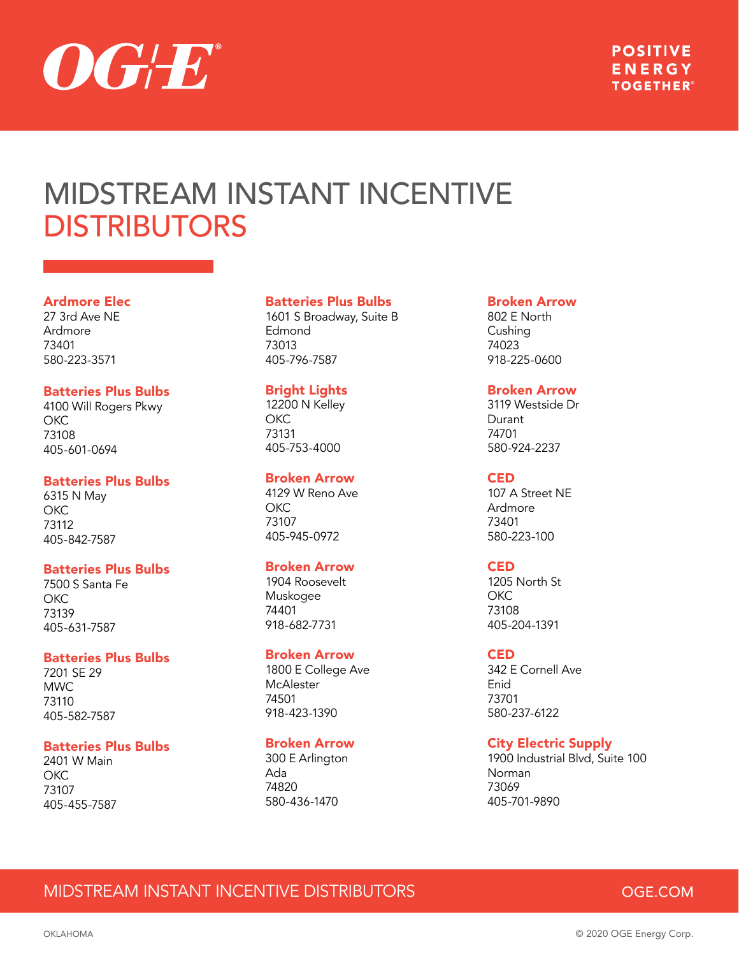

# Ardmore Elec

27 3rd Ave NE Ardmore 73401 580-223-3571

### Batteries Plus Bulbs

4100 Will Rogers Pkwy **OKC** 73108 405-601-0694

# Batteries Plus Bulbs

6315 N May **OKC** 73112 405-842-7587

### Batteries Plus Bulbs

7500 S Santa Fe **OKC** 73139 405-631-7587

### Batteries Plus Bulbs

7201 SE 29 MWC 73110 405-582-7587

### Batteries Plus Bulbs

2401 W Main OKC 73107 405-455-7587

#### Batteries Plus Bulbs

1601 S Broadway, Suite B Edmond 73013 405-796-7587

#### Bright Lights

12200 N Kelley OKC 73131 405-753-4000

# Broken Arrow

4129 W Reno Ave OKC 73107 405-945-0972

### Broken Arrow

1904 Roosevelt Muskogee 74401 918-682-7731

### Broken Arrow

1800 E College Ave **McAlester** 74501 918-423-1390

### Broken Arrow

300 E Arlington Ada 74820 580-436-1470

#### Broken Arrow

802 E North Cushing 74023 918-225-0600

# Broken Arrow

3119 Westside Dr Durant 74701 580-924-2237

### **CED**

107 A Street NE Ardmore 73401 580-223-100

### **CED**

1205 North St OKC 73108 405-204-1391

#### CED

342 E Cornell Ave Enid 73701 580-237-6122

# City Electric Supply

1900 Industrial Blvd, Suite 100 Norman 73069 405-701-9890

# MIDSTREAM INSTANT INCENTIVE DISTRIBUTORS

# OGE.COM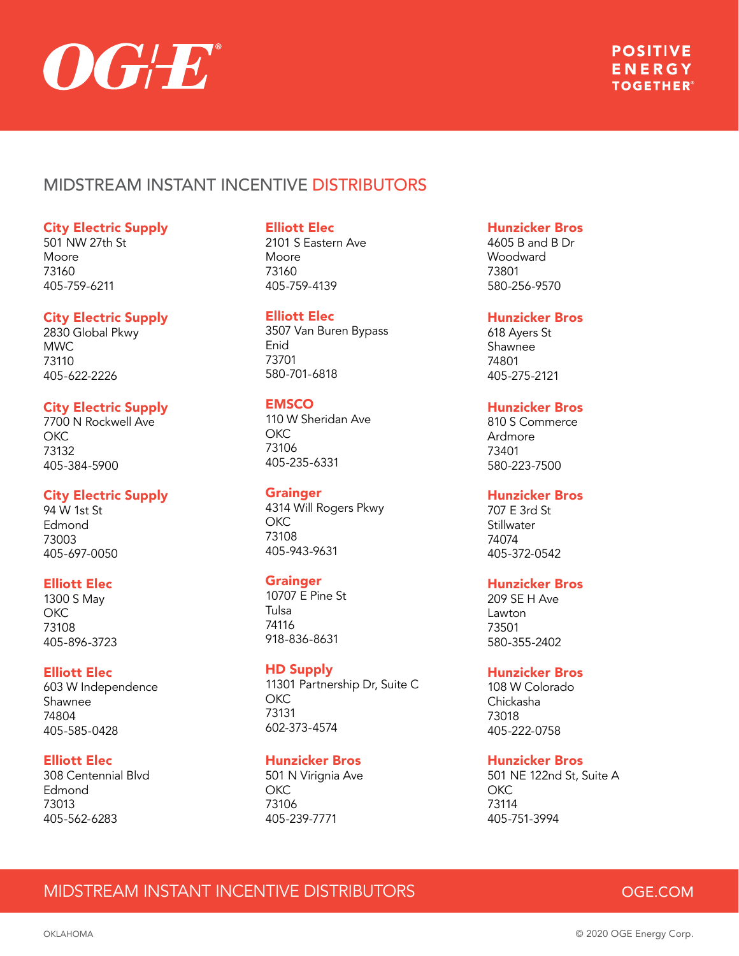

### City Electric Supply

501 NW 27th St Moore 73160 405-759-6211

### City Electric Supply

2830 Global Pkwy MWC 73110 405-622-2226

# City Electric Supply

7700 N Rockwell Ave OKC 73132 405-384-5900

# City Electric Supply

94 W 1st St Edmond 73003 405-697-0050

### Elliott Elec

1300 S May **OKC** 73108 405-896-3723

### Elliott Elec

603 W Independence Shawnee 74804 405-585-0428

# Elliott Elec

308 Centennial Blvd Edmond 73013 405-562-6283

# Elliott Elec

2101 S Eastern Ave Moore 73160 405-759-4139

### Elliott Elec

3507 Van Buren Bypass Enid 73701 580-701-6818

# **EMSCO**

110 W Sheridan Ave OKC 73106 405-235-6331

### Grainger

4314 Will Rogers Pkwy OKC 73108 405-943-9631

### **Grainger**

10707 E Pine St Tulsa 74116 918-836-8631

### HD Supply

11301 Partnership Dr, Suite C OKC 73131 602-373-4574

# Hunzicker Bros

501 N Virignia Ave OKC 73106 405-239-7771

# Hunzicker Bros

4605 B and B Dr Woodward 73801 580-256-9570

### Hunzicker Bros

618 Ayers St Shawnee 74801 405-275-2121

# Hunzicker Bros

810 S Commerce Ardmore 73401 580-223-7500

### Hunzicker Bros

707 E 3rd St **Stillwater** 74074 405-372-0542

# Hunzicker Bros

209 SE H Ave Lawton 73501 580-355-2402

### Hunzicker Bros

108 W Colorado Chickasha 73018 405-222-0758

# Hunzicker Bros

501 NE 122nd St, Suite A **OKC** 73114 405-751-3994

# MIDSTREAM INSTANT INCENTIVE DISTRIBUTORS

# OGE.COM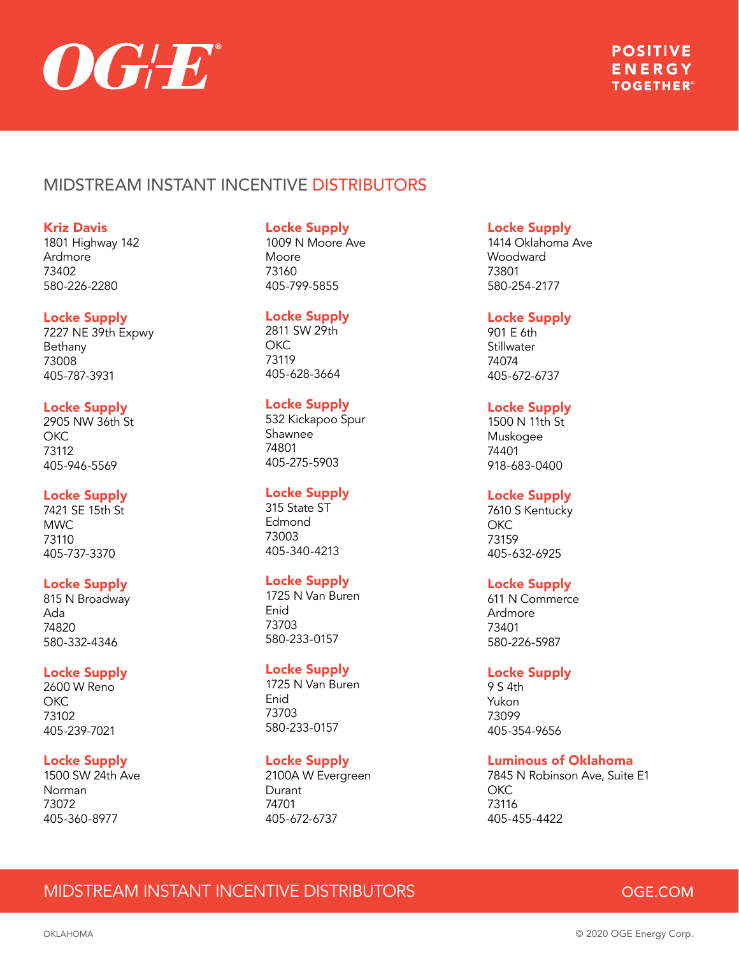

### Kriz Davis

1801 Highway 142 Ardmore 73402 580-226-2280

### Locke Supply

7227 NE 39th Expwy Bethany 73008 405-787-3931

### Locke Supply

2905 NW 36th St OKC 73112 405-946-5569

# Locke Supply

7421 SE 15th St MWC 73110 405-737-3370

# Locke Supply

815 N Broadway Ada 74820 580-332-4346

### Locke Supply

2600 W Reno **OKC** 73102 405-239-7021

# Locke Supply

1500 SW 24th Ave Norman 73072 405-360-8977

### Locke Supply

1009 N Moore Ave Moore 73160 405-799-5855

### Locke Supply

2811 SW 29th OKC 73119 405-628-3664

# Locke Supply

532 Kickapoo Spur Shawnee 74801 405-275-5903

# Locke Supply

315 State ST Edmond 73003 405-340-4213

# Locke Supply

1725 N Van Buren Enid 73703 580-233-0157

### Locke Supply

1725 N Van Buren Enid 73703 580-233-0157

# Locke Supply

2100A W Evergreen Durant 74701 405-672-6737

# Locke Supply

1414 Oklahoma Ave Woodward 73801 580-254-2177

### Locke Supply

901 E 6th **Stillwater** 74074 405-672-6737

# Locke Supply

1500 N 11th St Muskogee 74401 918-683-0400

# Locke Supply

7610 S Kentucky **OKC** 73159 405-632-6925

# Locke Supply

611 N Commerce Ardmore 73401 580-226-5987

# Locke Supply

9 S 4th Yukon 73099 405-354-9656

# Luminous of Oklahoma

7845 N Robinson Ave, Suite E1 **OKC** 73116 405-455-4422

# MIDSTREAM INSTANT INCENTIVE DISTRIBUTORS

# OGE.COM

OKLAHOMA © 2020 OGE Energy Corp.